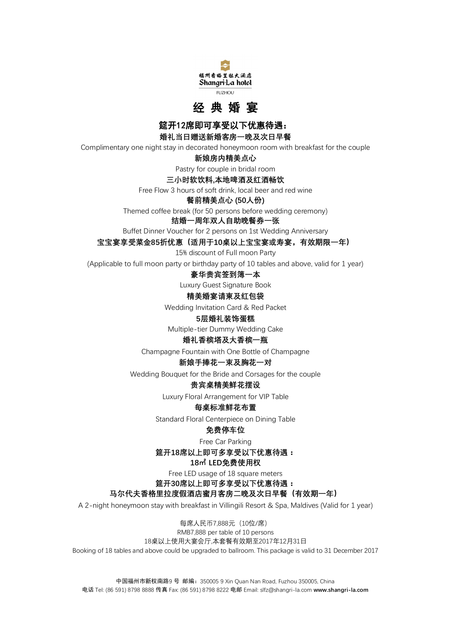



**筵开12席即可享受以下优惠待遇:** 

**婚礼当日赠送新婚客房一晚及次日早餐**

Complimentary one night stay in decorated honeymoon room with breakfast for the couple

**新娘房内精美点心**

Pastry for couple in bridal room

#### **三小时软饮料,本地啤酒及红酒畅饮**

Free Flow 3 hours of soft drink, local beer and red wine

**餐前精美点心 (50人份)**

Themed coffee break (for 50 persons before wedding ceremony)

# **结婚一周年双人自助晚餐券一张**

Buffet Dinner Voucher for 2 persons on 1st Wedding Anniversary

**宝宝宴享受菜金85折优惠(适用于10桌以上宝宝宴或寿宴,有效期限一年)**

15% discount of Full moon Party

(Applicable to full moon party or birthday party of 10 tables and above, valid for 1 year)

#### **豪华贵宾签到簿一本**

Luxury Guest Signature Book

#### **精美婚宴请柬及红包袋**

Wedding Invitation Card & Red Packet

# **5层婚礼装饰蛋糕**

Multiple-tier Dummy Wedding Cake

#### **婚礼香槟塔及大香槟一瓶**

Champagne Fountain with One Bottle of Champagne

# **新娘手捧花一束及胸花一对**

Wedding Bouquet for the Bride and Corsages for the couple

# **贵宾桌精美鲜花摆设**

Luxury Floral Arrangement for VIP Table

# **每桌标准鲜花布置**

Standard Floral Centerpiece on Dining Table

# **免费停车位**

Free Car Parking

**筵开18席以上即可多享受以下优惠待遇:**

# **18㎡ LED免费使用权**

Free LED usage of 18 square meters

**筵开30席以上即可多享受以下优惠待遇:**

# **马尔代夫香格里拉度假酒店蜜月客房二晚及次日早餐(有效期一年)**

A 2-night honeymoon stay with breakfast in Villingili Resort & Spa, Maldives (Valid for 1 year)

每席人民币7,888元(10位/席) RMB7,888 per table of 10 persons 18桌以上使用大宴会厅,本套餐有效期至2017年12月31日 Booking of 18 tables and above could be upgraded to ballroom. This package is valid to 31 December 2017